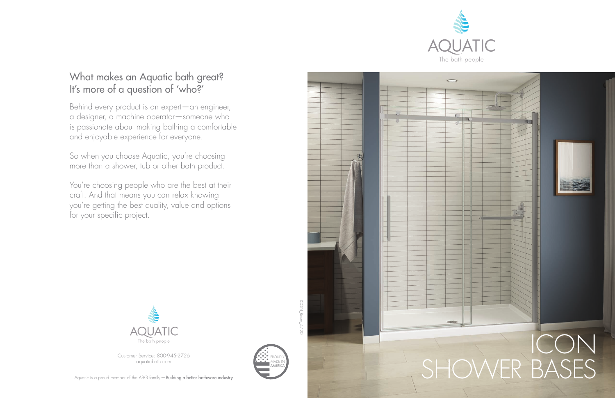

## What makes an Aquatic bath great? It's more of a question of 'who?'

Behind every product is an expert—an engineer, a designer, a machine operator—someone who is passionate about making bathing a comfortable and enjoyable experience for everyone.

> **CON\_Bases** ICON\_Bases\_4/20

So when you choose Aquatic, you're choosing more than a shower, tub or other bath product.

You're choosing people who are the best at their craft. And that means you can relax knowing you're getting the best quality, value and options for your specific project.



Customer Service: 800-945-2726 aquaticbath.com



AMERICA PROUDLY MADE IN